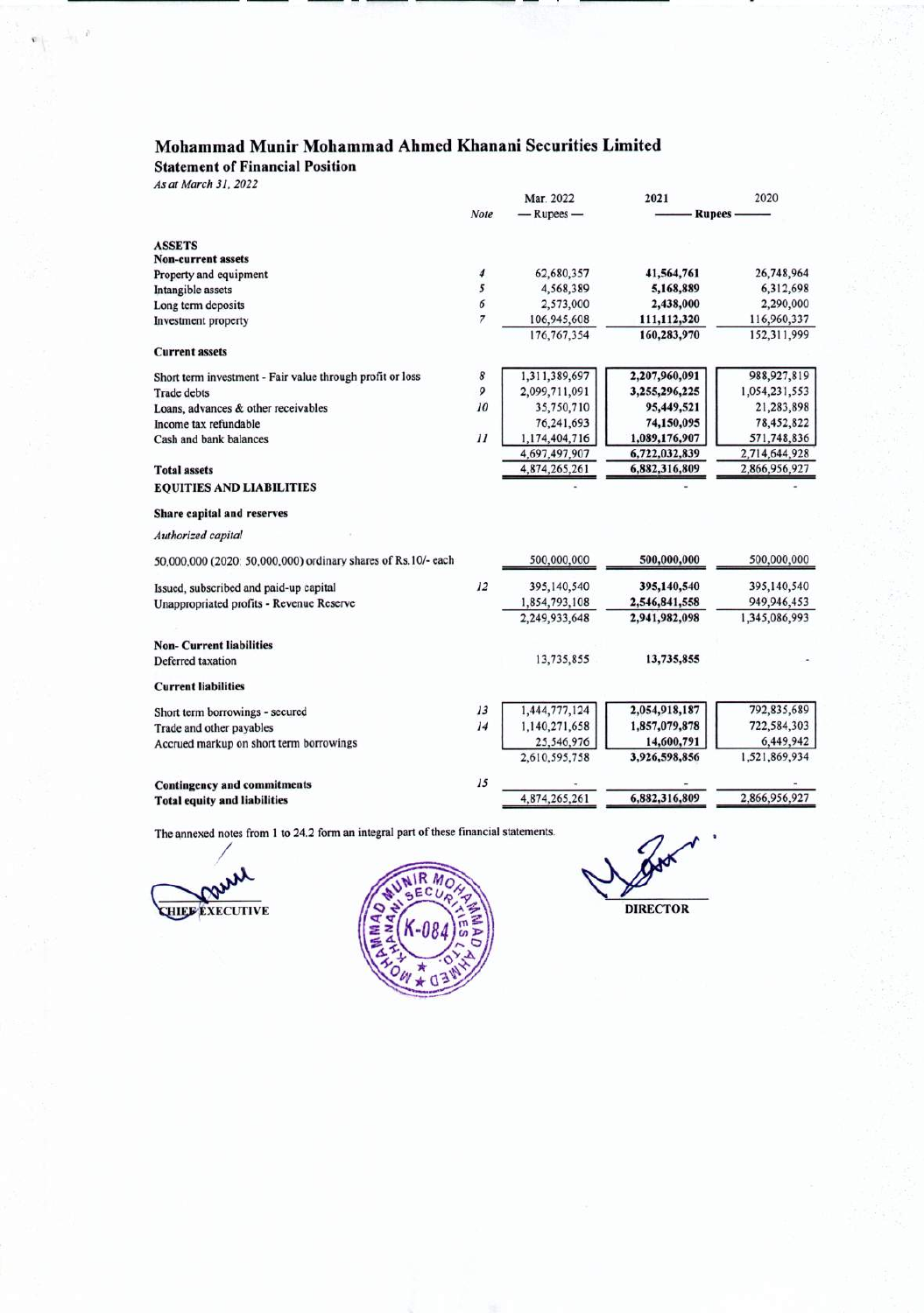---- - ----- -------------

Statement of Financial Position

*As at March* 31, *2022*

 $\mathbf{e}_{\mathbf{r}}=\mathbf{e}_{\mathbf{r}}\cdot\mathbf{r}$ 

|                                                               |         | Mar. 2022      | 2021          | 2020          |
|---------------------------------------------------------------|---------|----------------|---------------|---------------|
|                                                               | Note    | $-$ Rupees $-$ | <b>Rupees</b> |               |
| <b>ASSETS</b>                                                 |         |                |               |               |
| <b>Non-current assets</b>                                     |         |                |               |               |
| Property and equipment                                        | 4       | 62,680,357     | 41,564,761    | 26,748,964    |
| Intangible assets                                             | 5       | 4,568,389      | 5,168,889     | 6,312,698     |
| Long term deposits                                            | б       | 2,573,000      | 2,438,000     | 2,290,000     |
| Investment property                                           | 7       | 106,945,608    | 111,112,320   | 116,960,337   |
|                                                               |         | 176, 767, 354  | 160,283,970   | 152,311,999   |
| <b>Current assets</b>                                         |         |                |               |               |
| Short term investment - Fair value through profit or loss     | 8       | 1,311,389,697  | 2,207,960,091 | 988,927,819   |
| <b>Trade debts</b>                                            | 9       | 2,099,711,091  | 3,255,296,225 | 1,054,231,553 |
| Loans, advances & other receivables                           | 10      | 35,750,710     | 95,449,521    | 21,283,898    |
| Income tax refundable                                         |         | 76,241,693     | 74,150,095    | 78,452,822    |
| Cash and bank balances                                        | $_{11}$ | 1,174,404,716  | 1,089,176,907 | 571,748,836   |
|                                                               |         | 4,697,497,907  | 6,722,032,839 | 2,714,644,928 |
| <b>Total assets</b>                                           |         | 4,874,265,261  | 6,882,316,809 | 2,866,956,927 |
| <b>EQUITIES AND LIABILITIES</b>                               |         |                |               |               |
| <b>Share capital and reserves</b>                             |         |                |               |               |
| Authorized capital                                            |         |                |               |               |
| 50,000,000 (2020: 50,000,000) ordinary shares of Rs.10/- each |         | 500,000,000    | 500,000,000   | 500,000,000   |
| Issued, subscribed and paid-up capital                        | 12      | 395,140,540    | 395,140,540   | 395,140,540   |
| Unappropriated profits - Revenue Reserve                      |         | 1,854,793,108  | 2,546,841,558 | 949,946,453   |
|                                                               |         | 2,249,933,648  | 2,941,982,098 | 1,345,086,993 |
| <b>Non-Current liabilities</b>                                |         |                |               |               |
| Deferred taxation                                             |         | 13,735,855     | 13,735,855    |               |
| <b>Current liabilities</b>                                    |         |                |               |               |
| Short term borrowings - secured                               | 13      | 1,444,777,124  | 2,054,918,187 | 792,835,689   |
| Trade and other payables                                      | 14      | 1,140,271,658  | 1,857,079,878 | 722,584,303   |
| Accrued markup on short term borrowings                       |         | 25,546,976     | 14,600,791    | 6,449,942     |
|                                                               |         | 2,610,595,758  | 3,926,598,856 | 1,521,869,934 |
| <b>Contingency and commitments</b>                            | 15      |                |               |               |
| <b>Total equity and liabilities</b>                           |         | 4,874,265,261  | 6,882,316,809 | 2,866,956,927 |
|                                                               |         |                |               |               |

The annexed notes from 1 to 24.2 form an integral part of these financial statements.

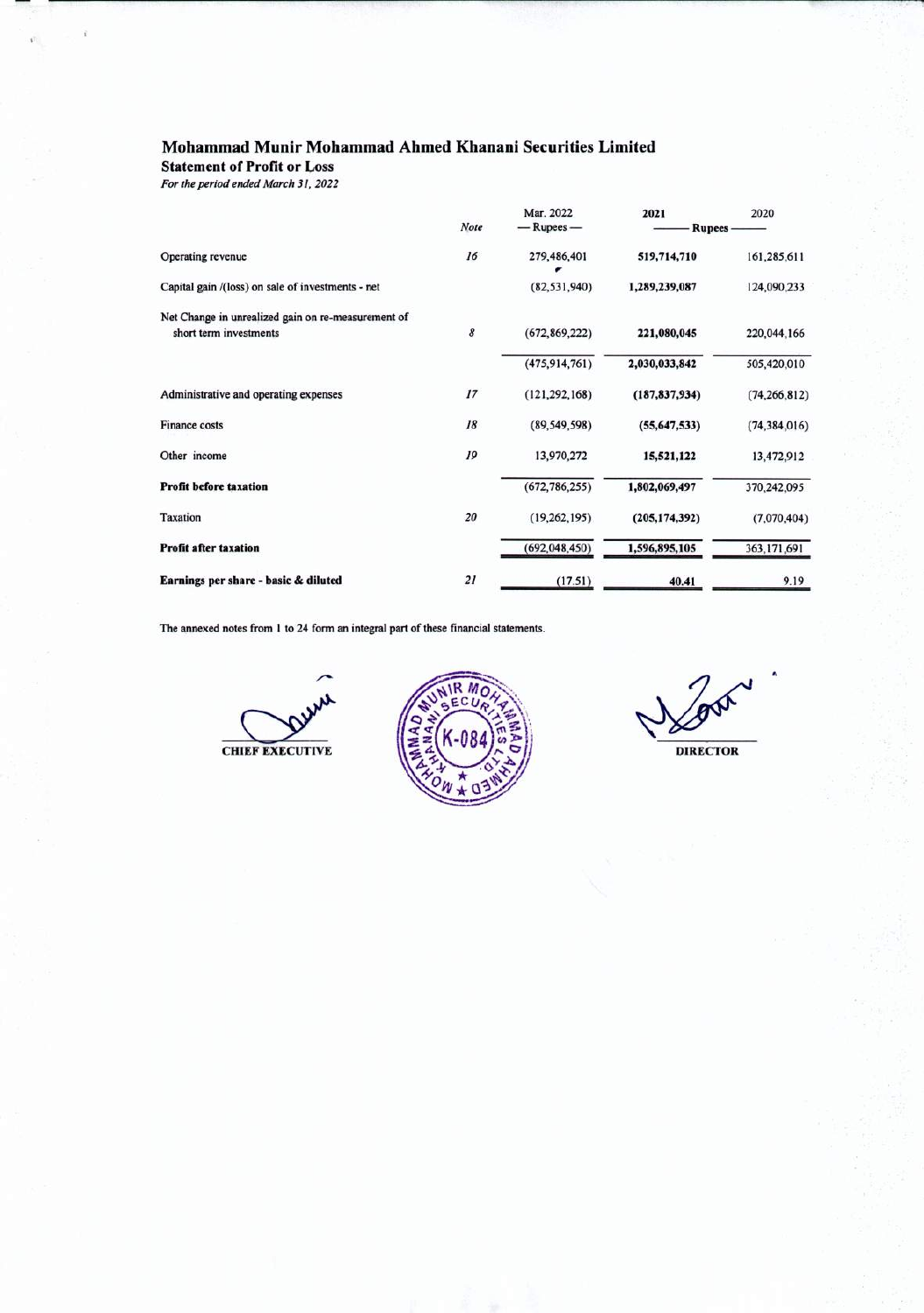**Statement of Profit or Loss** 

*For the period ended March* 31, *2022*

|                                                    |      | Mar. 2022       | 2021            | 2020           |
|----------------------------------------------------|------|-----------------|-----------------|----------------|
|                                                    | Note | $-$ Rupees $-$  | <b>Rupees</b>   |                |
| Operating revenue                                  | 16   | 279,486,401     | 519,714,710     | 161,285,611    |
| Capital gain /(loss) on sale of investments - net  |      | (82, 531, 940)  | 1,289,239,087   | 124,090,233    |
| Net Change in unrealized gain on re-measurement of |      |                 |                 |                |
| short term investments                             | 8    | (672, 869, 222) | 221,080,045     | 220,044,166    |
|                                                    |      | (475, 914, 761) | 2,030,033,842   | 505,420,010    |
| Administrative and operating expenses              | 17   | (121, 292, 168) | (187, 837, 934) | (74, 266, 812) |
| Finance costs                                      | 18   | (89, 549, 598)  | (55,647,533)    | (74, 384, 016) |
| Other income                                       | 19   | 13,970,272      | 15,521,122      | 13,472,912     |
| <b>Profit before taxation</b>                      |      | (672, 786, 255) | 1,802,069,497   | 370,242,095    |
| Taxation                                           | 20   | (19, 262, 195)  | (205, 174, 392) | (7,070,404)    |
| <b>Profit after taxation</b>                       |      | (692, 048, 450) | 1,596,895,105   | 363,171,691    |
| Earnings per share - basic & diluted               | 21   | (17.51)         | 40.41           | 9.19           |

The annexed notes from 1 to 24 form an integral part of these financial statements.



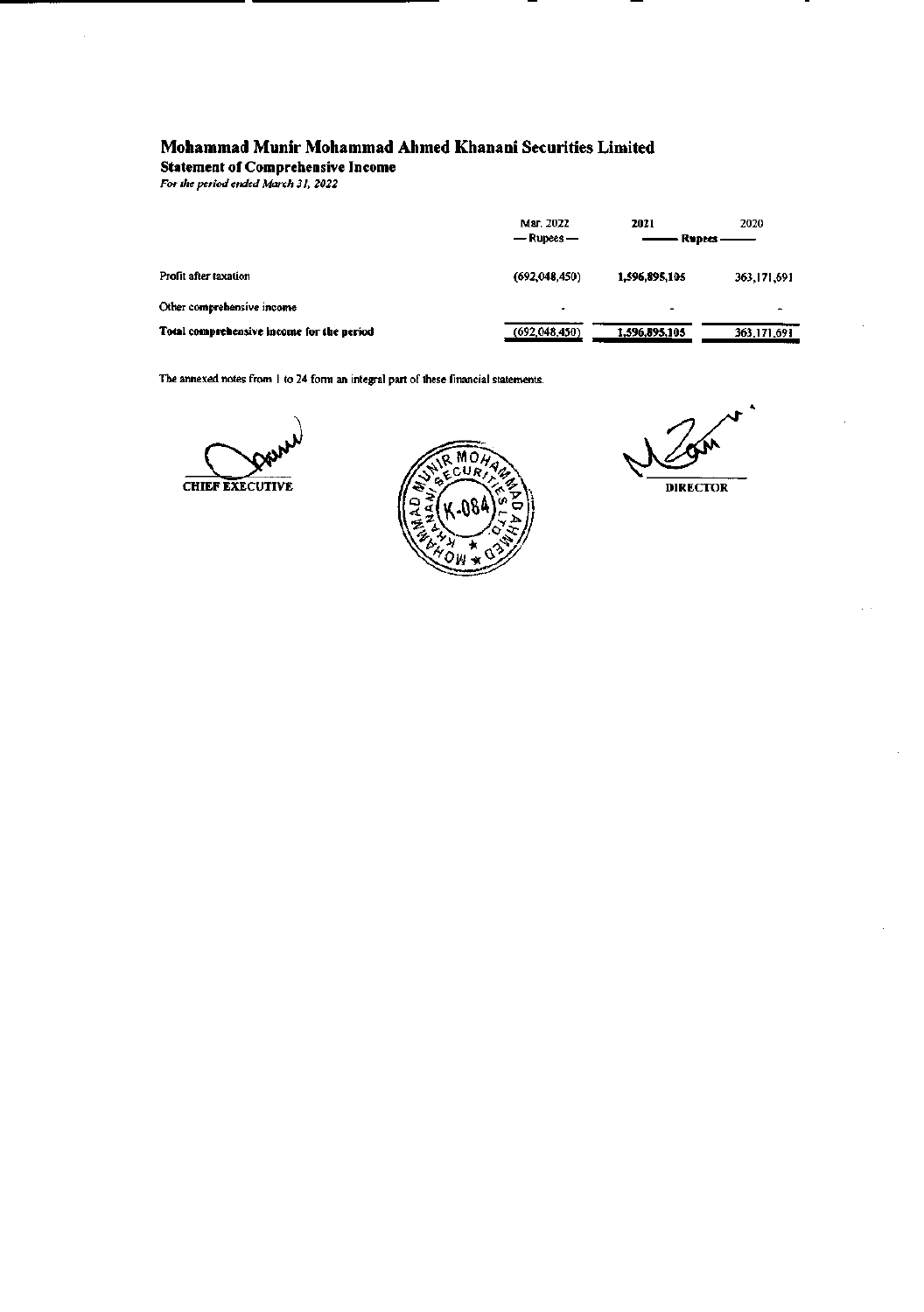Statement of Comprehensive Income

*For the period ended March* 31, *2022*

|                                           | Mar. 2022<br>$-$ Rupees $-$ | 2020<br>2021<br>Rupees |               |
|-------------------------------------------|-----------------------------|------------------------|---------------|
| Profit after taxation                     | (692,048,450)               | 1,596,895,105          | 363, 171, 691 |
| Other comprehensive income                | ٠                           |                        | ۰             |
| Total comprehensive income for the period | (692,048,450)               | 1,596,895,105          | 363, 171, 691 |

The annexed notes from 1 to 24 form an integral part of these financial statements.



瓜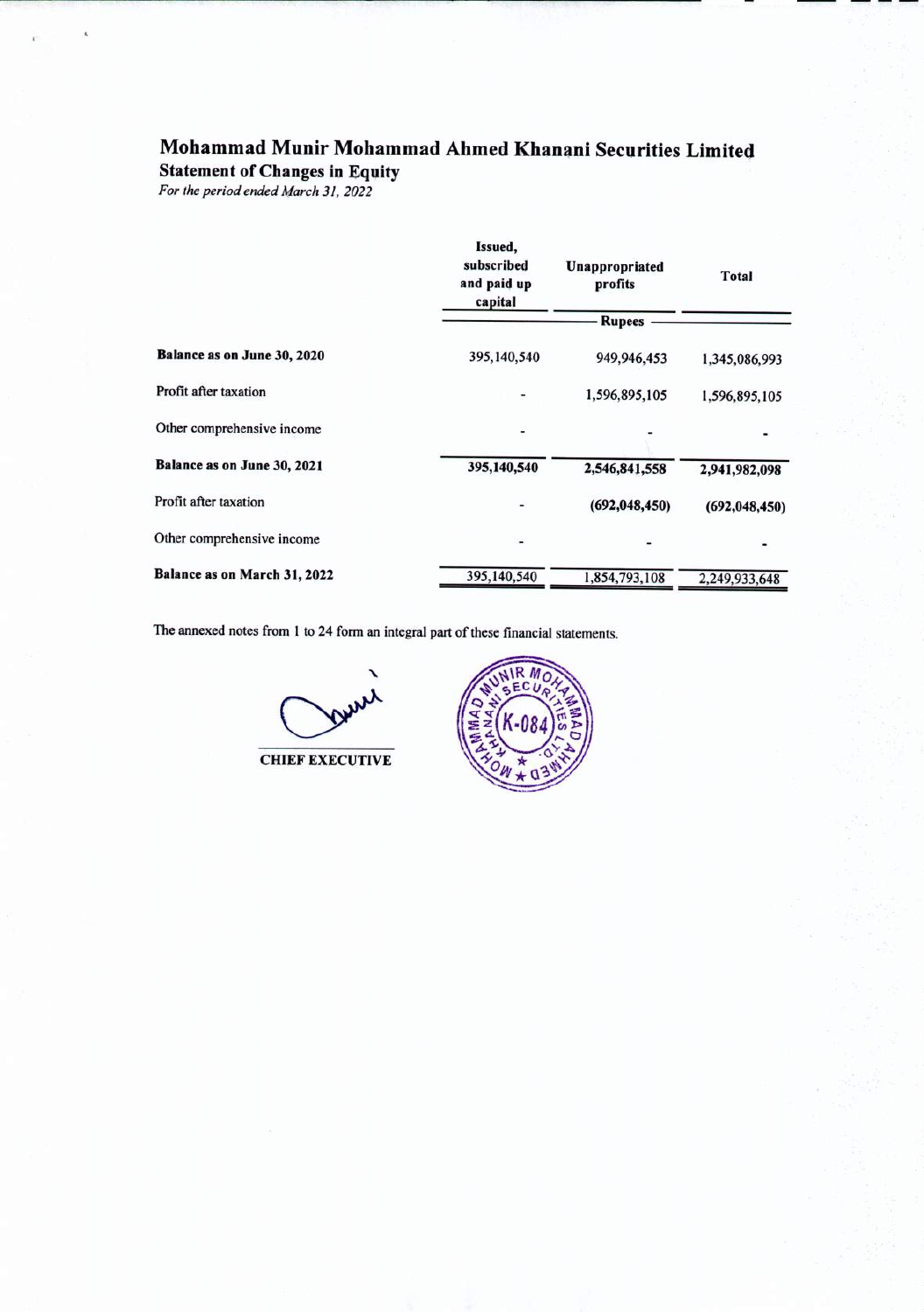Statement of Changes in Equity

*For theperiod ended March* 31, *2022*

|                              | Issued,<br>subscribed<br>and paid up<br>capital | Unappropriated<br>profits | <b>Total</b>    |  |
|------------------------------|-------------------------------------------------|---------------------------|-----------------|--|
|                              |                                                 | <b>Rupees</b>             |                 |  |
| Balance as on June 30, 2020  | 395, 140, 540                                   | 949,946,453               | 1,345,086,993   |  |
| Profit after taxation        |                                                 | 1,596,895,105             | 1,596,895,105   |  |
| Other comprehensive income   | -                                               |                           |                 |  |
| Balance as on June 30, 2021  | 395,140,540                                     | 2,546,841,558             | 2,941,982,098   |  |
| Profit after taxation        |                                                 | (692, 048, 450)           | (692, 048, 450) |  |
| Other comprehensive income   |                                                 |                           |                 |  |
| Balance as on March 31, 2022 | 395,140,540                                     | 1,854,793,108             | 2,249,933,648   |  |

The annexed notes from 1 to 24 form an integral part of these financial statements.

CHIEF EXECUTIVE